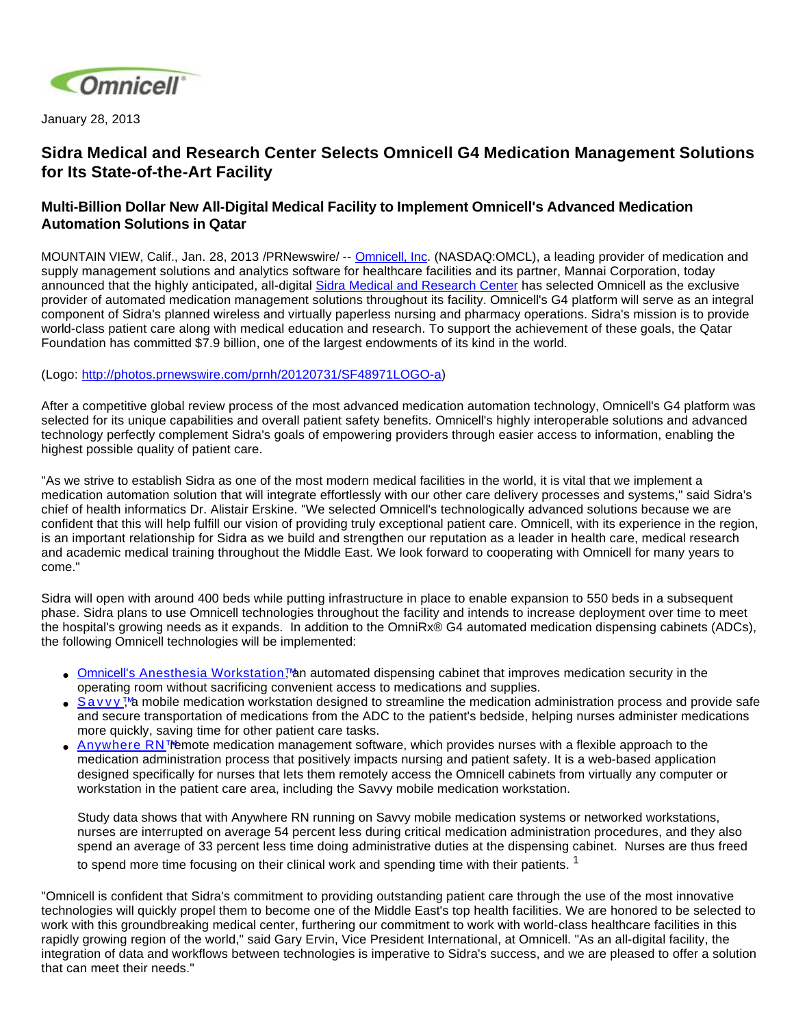

January 28, 2013

# **Sidra Medical and Research Center Selects Omnicell G4 Medication Management Solutions for Its State-of-the-Art Facility**

# **Multi-Billion Dollar New All-Digital Medical Facility to Implement Omnicell's Advanced Medication Automation Solutions in Qatar**

MOUNTAIN VIEW, Calif., Jan. 28, 2013 /PRNewswire/ -- [Omnicell, Inc.](http://www.omnicell.com/) (NASDAQ:OMCL), a leading provider of medication and supply management solutions and analytics software for healthcare facilities and its partner, Mannai Corporation, today announced that the highly anticipated, all-digital [Sidra Medical and Research Center](http://www.sidra.org/) has selected Omnicell as the exclusive provider of automated medication management solutions throughout its facility. Omnicell's G4 platform will serve as an integral component of Sidra's planned wireless and virtually paperless nursing and pharmacy operations. Sidra's mission is to provide world-class patient care along with medical education and research. To support the achievement of these goals, the Qatar Foundation has committed \$7.9 billion, one of the largest endowments of its kind in the world.

## (Logo: [http://photos.prnewswire.com/prnh/20120731/SF48971LOGO-a\)](http://photos.prnewswire.com/prnh/20120731/SF48971LOGO-a)

After a competitive global review process of the most advanced medication automation technology, Omnicell's G4 platform was selected for its unique capabilities and overall patient safety benefits. Omnicell's highly interoperable solutions and advanced technology perfectly complement Sidra's goals of empowering providers through easier access to information, enabling the highest possible quality of patient care.

"As we strive to establish Sidra as one of the most modern medical facilities in the world, it is vital that we implement a medication automation solution that will integrate effortlessly with our other care delivery processes and systems," said Sidra's chief of health informatics Dr. Alistair Erskine. "We selected Omnicell's technologically advanced solutions because we are confident that this will help fulfill our vision of providing truly exceptional patient care. Omnicell, with its experience in the region, is an important relationship for Sidra as we build and strengthen our reputation as a leader in health care, medical research and academic medical training throughout the Middle East. We look forward to cooperating with Omnicell for many years to come."

Sidra will open with around 400 beds while putting infrastructure in place to enable expansion to 550 beds in a subsequent phase. Sidra plans to use Omnicell technologies throughout the facility and intends to increase deployment over time to meet the hospital's growing needs as it expands. In addition to the OmniRx® G4 automated medication dispensing cabinets (ADCs), the following Omnicell technologies will be implemented:

- Omnicell's Anesthesia Workstation, Man automated dispensing cabinet that improves medication security in the operating room without sacrificing convenient access to medications and supplies.
- Savvy™a mobile medication workstation designed to streamline the medication administration process and provide safe and secure transportation of medications from the ADC to the patient's bedside, helping nurses administer medications more quickly, saving time for other patient care tasks.
- [Anywhere RN™](http://www.omnicell.com/Products/Medication_Dispensing/Anywhere_RN_Remote_Medication_Management.aspx) emote medication management software, which provides nurses with a flexible approach to the medication administration process that positively impacts nursing and patient safety. It is a web-based application designed specifically for nurses that lets them remotely access the Omnicell cabinets from virtually any computer or workstation in the patient care area, including the Savvy mobile medication workstation.

Study data shows that with Anywhere RN running on Savvy mobile medication systems or networked workstations, nurses are interrupted on average 54 percent less during critical medication administration procedures, and they also spend an average of 33 percent less time doing administrative duties at the dispensing cabinet. Nurses are thus freed

to spend more time focusing on their clinical work and spending time with their patients.<sup>1</sup>

"Omnicell is confident that Sidra's commitment to providing outstanding patient care through the use of the most innovative technologies will quickly propel them to become one of the Middle East's top health facilities. We are honored to be selected to work with this groundbreaking medical center, furthering our commitment to work with world-class healthcare facilities in this rapidly growing region of the world," said Gary Ervin, Vice President International, at Omnicell. "As an all-digital facility, the integration of data and workflows between technologies is imperative to Sidra's success, and we are pleased to offer a solution that can meet their needs."